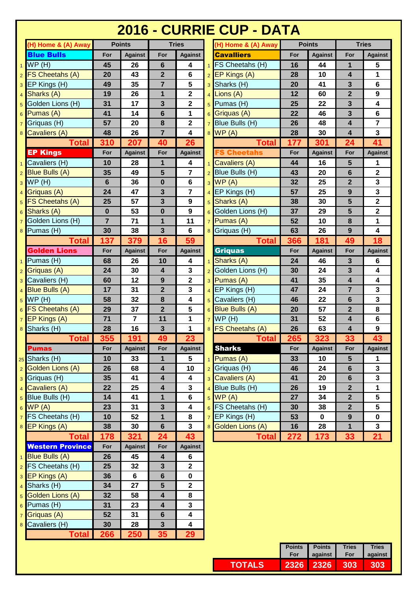## **2016 - CURRIE CUP - DATA**

| (H) Home & (A) Away                       |                | <b>Points</b>  |                         | <b>Tries</b>            |                | (H) Home & (A) Away     |     | <b>Points</b>  |                         | <b>Tries</b>            |
|-------------------------------------------|----------------|----------------|-------------------------|-------------------------|----------------|-------------------------|-----|----------------|-------------------------|-------------------------|
| <b>Blue Bulls</b>                         | For            | <b>Against</b> | For                     | <b>Against</b>          |                | <b>Cavalliers</b>       | For | <b>Against</b> | For                     | <b>Against</b>          |
| WP(H)                                     | 45             | 26             | $6\phantom{1}$          | 4                       |                | <b>FS Cheetahs (H)</b>  | 16  | 44             | $\mathbf{1}$            | 5                       |
| FS Cheetahs (A)<br>$\overline{2}$         | 20             | 43             | $\overline{2}$          | 6                       | 2 <sub>1</sub> | EP Kings (A)            | 28  | 10             | 4                       | 1                       |
| EP Kings (H)<br>3                         | 49             | 35             | $\overline{7}$          | 5                       | 3 <sup>1</sup> | Sharks (H)              | 20  | 41             | 3                       | 6                       |
| Sharks (A)<br>$\overline{4}$              | 19             | 26             | $\mathbf{1}$            | $\mathbf 2$             |                | Lions (A)               | 12  | 60             | $\overline{2}$          | 9                       |
| Golden Lions (H)<br>5                     | 31             | 17             | $\overline{\mathbf{3}}$ | $\overline{\mathbf{2}}$ | 5 <sup>1</sup> | Pumas (H)               | 25  | 22             | 3                       | $\overline{\mathbf{4}}$ |
| Pumas (A)<br>6                            | 41             | 14             | $6\phantom{1}$          | 1                       | 6              | Griguas (A)             | 22  | 46             | 3                       | $6\phantom{a}$          |
| Griquas (H)                               | 57             | 20             | $\pmb{8}$               | $\mathbf 2$             |                | Blue Bulls (H)          | 26  | 48             | 4                       | $\overline{7}$          |
| Cavaliers (A)<br>8                        | 48             | 26             | $\overline{7}$          | 4                       | 8 <sup>1</sup> | WP(A)                   | 28  | 30             | $\overline{\mathbf{4}}$ | $\mathbf{3}$            |
| <b>Total</b>                              | 310            | 207            | 40                      | 26                      |                | Total                   | 177 | 301            | 24                      | 41                      |
| <b>EP Kings</b>                           | For            | <b>Against</b> | For                     | <b>Against</b>          |                | <b>FS Cheetahs</b>      | For | <b>Against</b> | For                     | <b>Against</b>          |
| Cavaliers (H)                             | 10             | 28             | 1                       | $\overline{\mathbf{4}}$ |                | Cavaliers (A)           | 44  | 16             | 5                       | 1                       |
| <b>Blue Bulls (A)</b>                     | 35             | 49             | 5                       | $\overline{7}$          |                | Blue Bulls (H)          | 43  | 20             | 6                       | $\mathbf 2$             |
| WP(H)<br>3                                | $6\phantom{1}$ | 36             | $\mathbf 0$             | 6                       | 3 <sup>1</sup> | WP(A)                   | 32  | 25             | $\overline{2}$          | $\mathbf{3}$            |
| Griquas (A)<br>4                          | 24             | 47             | 3                       | $\overline{7}$          |                | $4$ EP Kings (H)        | 57  | 25             | 9                       | 3                       |
| FS Cheetahs (A)<br>5                      | 25             | 57             | 3                       | $\mathbf{9}$            | 5              | Sharks (A)              | 38  | 30             | 5                       | $\overline{\mathbf{2}}$ |
| Sharks (A)<br>6                           | $\bf{0}$       | 53             | $\bf{0}$                | 9                       | 6 <sup>1</sup> | Golden Lions (H)        | 37  | 29             | 5                       | $\overline{\mathbf{2}}$ |
| Golden Lions (H)                          | $\overline{7}$ | 71             | $\mathbf{1}$            | 11                      |                | $7$ Pumas (A)           | 52  | 10             | 8                       | 1                       |
| Pumas (H)<br>8                            | 30             | 38             | 3                       | 6                       | 8 I            | Griquas (H)             | 63  | 26             | 9                       | $\overline{\mathbf{4}}$ |
| <b>Total</b>                              | 137            | 379            | 16                      | 59                      |                | Total                   | 366 | 181            | 49                      | 18                      |
| <b>Golden Lions</b>                       | For            | <b>Against</b> | For                     | <b>Against</b>          |                | Griquas                 | For | <b>Against</b> | For                     | <b>Against</b>          |
| Pumas (H)                                 | 68             | 26             | 10                      | 4                       |                | Sharks (A)              | 24  | 46             | 3                       | 6                       |
| Griquas (A)<br>$\overline{2}$             | 24             | 30             | $\overline{\mathbf{4}}$ | 3                       | 2 <sub>1</sub> | Golden Lions (H)        | 30  | 24             | 3                       | $\overline{\mathbf{4}}$ |
| Cavaliers (H)<br>3                        | 60             | 12             | 9                       | $\overline{\mathbf{2}}$ |                | 3 Pumas (A)             | 41  | 35             | $\overline{\mathbf{4}}$ | 4                       |
| <b>Blue Bulls (A)</b>                     | 17             | 31             | $\overline{2}$          | $\overline{\mathbf{3}}$ |                | EP Kings (H)            | 47  | 24             | $\overline{7}$          | 3                       |
| WP(H)<br>5                                | 58             | 32             | $\pmb{8}$               | 4                       | 5 <sup>1</sup> | Cavaliers (H)           | 46  | 22             | 6                       | 3                       |
| FS Cheetahs (A)                           | 29             | 37             | $\overline{2}$          | 5                       |                | 6 Blue Bulls (A)        | 20  | 57             | $\overline{2}$          | 8                       |
| EP Kings (A)                              | 71             | $\overline{7}$ | 11                      | 1                       | 7 <sup>1</sup> | WP(H)                   | 31  | 52             | $\overline{\mathbf{4}}$ | 6                       |
| Sharks (H)<br>8                           | 28             | 16             | $\mathbf{3}$            | 1                       |                | 8 FS Cheetahs (A)       | 26  | 63             | 4                       | $\boldsymbol{9}$        |
| <b>Total</b>                              | 355            | 191            | 49                      | 23                      |                | <b>Total</b>            | 265 | 323            | 33                      | 43                      |
| <b>Pumas</b>                              | For            | <b>Against</b> | For                     | <b>Against</b>          |                | <b>Sharks</b>           | For | <b>Against</b> | For                     | <b>Against</b>          |
| $25$ Sharks (H)                           | 10             | 33             | 1                       | 5                       |                | Pumas (A)               | 33  | 10             | 5                       | 1                       |
| <b>Golden Lions (A)</b><br>$\overline{2}$ | 26             | 68             | $\overline{\mathbf{4}}$ | 10                      |                | 2 Griquas (H)           | 46  | 24             | 6                       | 3                       |
| Griquas (H)<br>3                          | 35             | 41             | $\overline{\mathbf{4}}$ | $\overline{\mathbf{4}}$ | 3 I            | Cavaliers (A)           | 41  | 20             | $6\phantom{1}$          | $\mathbf{3}$            |
| Cavaliers (A)<br>$\overline{4}$           | 22             | 25             | 4                       | 3                       |                | Blue Bulls (H)          | 26  | 19             | $\mathbf{2}$            | $\mathbf 1$             |
| Blue Bulls (H)<br>5                       | 14             | 41             | $\mathbf{1}$            | $\bf 6$                 | 5 <sup>1</sup> | WP(A)                   | 27  | 34             | $\overline{2}$          | 5                       |
| WP(A)<br>6                                | 23             | 31             | 3                       | $\overline{\mathbf{4}}$ |                | 6 FS Cheetahs (H)       | 30  | 38             | $\overline{2}$          | 5                       |
| FS Cheetahs (H)                           | 10             | 52             | 1                       | 8                       | 7 <sup>1</sup> | EP Kings (H)            | 53  | 0              | $9$                     | $\mathbf 0$             |
| EP Kings (A)<br>8                         | 38             | 30             | $6\phantom{1}$          | $\overline{\mathbf{3}}$ | 8 <sup>1</sup> | <b>Golden Lions (A)</b> | 16  | 28             | $\mathbf{1}$            | $\mathbf{3}$            |
| <b>Total</b>                              | 178            | 321            | 24                      | 43                      |                | <b>Total</b>            | 272 | 173            | 33                      | 21                      |
| <b>Western Province</b>                   | For            | <b>Against</b> | For                     | <b>Against</b>          |                |                         |     |                |                         |                         |
| <b>Blue Bulls (A)</b>                     | 26             | 45             | $\overline{\mathbf{4}}$ | 6                       |                |                         |     |                |                         |                         |
| FS Cheetahs (H)<br>$\overline{2}$         | 25             | 32             | 3                       | $\mathbf 2$             |                |                         |     |                |                         |                         |
| EP Kings (A)<br>3                         | 36             | 6              | $6\phantom{1}$          | $\mathbf 0$             |                |                         |     |                |                         |                         |
| Sharks (H)<br>$\overline{4}$              | 34             | 27             | 5                       | $\mathbf{2}$            |                |                         |     |                |                         |                         |
| <b>Golden Lions (A)</b><br>5              | 32             | 58             | $\overline{\mathbf{4}}$ | 8                       |                |                         |     |                |                         |                         |
| Pumas (H)<br>$6\phantom{1}$               | 31             | 23             | $\overline{\mathbf{4}}$ | $\overline{\mathbf{3}}$ |                |                         |     |                |                         |                         |
| Griquas (A)<br>$\overline{7}$             | 52             | 31             | $6\phantom{1}$          | 4                       |                |                         |     |                |                         |                         |
| Cavaliers (H)<br>8                        | 30             | 28             | $\mathbf{3}$            | 4                       |                |                         |     |                |                         |                         |
| Total                                     | 266            | 250            | 35                      | 29                      |                |                         |     |                |                         |                         |
|                                           |                |                |                         |                         |                |                         |     |                |                         |                         |

|   | <b>Points</b>  | <b>Tries</b>            |                         |                | (H) Home & (A) Away     | <b>Points</b> |                | <b>Tries</b>            |                         |
|---|----------------|-------------------------|-------------------------|----------------|-------------------------|---------------|----------------|-------------------------|-------------------------|
|   | <b>Against</b> | For                     | <b>Against</b>          |                | <b>Cavalliers</b>       | For           | <b>Against</b> | For                     | <b>Against</b>          |
|   | 26             | 6                       | 4                       | 1 <sup>1</sup> | FS Cheetahs (H)         | 16            | 44             | 1                       | 5                       |
|   | 43             | $\overline{2}$          | 6                       | 2 <sub>1</sub> | <b>EP Kings (A)</b>     | 28            | 10             | $\overline{\mathbf{4}}$ | 1                       |
|   | 35             | $\overline{\mathbf{r}}$ | 5                       | 3 <sup>1</sup> | Sharks (H)              | 20            | 41             | 3                       | 6                       |
|   | 26             | $\overline{\mathbf{1}}$ | $\overline{\mathbf{2}}$ | $\overline{4}$ | Lions (A)               | 12            | 60             | $\overline{2}$          | 9                       |
|   | 17             | 3                       | $\mathbf 2$             | 5 <sup>1</sup> | Pumas (H)               | 25            | 22             | 3                       | 4                       |
|   | 14             | $6\phantom{1}6$         | 1                       | 6 <sup>1</sup> | Griquas (A)             | 22            | 46             | 3                       | 6                       |
|   | 20             | 8                       | $\mathbf{2}$            | 7 <sup>1</sup> | Blue Bulls (H)          | 26            | 48             | $\overline{\mathbf{4}}$ | 7                       |
|   | 26             | $\overline{7}$          | 4                       |                | 8 WP (A)                | 28            | 30             | $\overline{\mathbf{4}}$ | 3                       |
| ו | 207            | 40                      | 26                      |                | Total                   | 177           | 301            | 24                      | 41                      |
|   | <b>Against</b> | For                     | <b>Against</b>          |                | <b>FS Cheetahs</b>      | For           | <b>Against</b> | For                     | <b>Against</b>          |
|   | 28             | 1                       | 4                       | 1 <sup>1</sup> | Cavaliers (A)           | 44            | 16             | $5\phantom{1}$          | 1                       |
|   | 49             | 5                       | $\overline{7}$          | 2 <sub>1</sub> | Blue Bulls (H)          | 43            | 20             | $6\phantom{1}6$         | $\mathbf 2$             |
|   | 36             | $\bf{0}$                | 6                       | 3 <sup>1</sup> | WP(A)                   | 32            | 25             | $\mathbf{2}$            | 3                       |
|   | 47             | 3                       | $\overline{7}$          | 4 <sup>1</sup> | EP Kings (H)            | 57            | 25             | $\mathbf{9}$            | 3                       |
|   | 57             | $\overline{\mathbf{3}}$ | 9                       | 5 <sup>1</sup> | Sharks (A)              | 38            | 30             | 5                       | $\overline{\mathbf{2}}$ |
|   | 53             | $\bf{0}$                | 9                       | 6              | Golden Lions (H)        | 37            | 29             | 5                       | $\mathbf 2$             |
|   | 71             | 1                       | 11                      | 7 <sup>1</sup> | Pumas (A)               | 52            | 10             | 8                       | 1                       |
|   | 38             | 3                       | 6                       | 8 <sup>1</sup> | Griquas (H)             | 63            | 26             | 9                       | $\overline{\mathbf{4}}$ |
|   | 379            | 16                      | 59                      |                | <b>Total</b>            | 366           | 181            | 49                      | 18                      |
|   | <b>Against</b> | For                     | <b>Against</b>          |                | <b>Griquas</b>          | For           | <b>Against</b> | For                     | <b>Against</b>          |
|   | 26             | 10                      | 4                       | 1 <sup>1</sup> | Sharks (A)              | 24            | 46             | 3                       | 6                       |
|   | 30             | $\overline{\mathbf{4}}$ | 3                       | 2 <sup>1</sup> | Golden Lions (H)        | 30            | 24             | $\overline{\mathbf{3}}$ | 4                       |
|   | 12             | 9                       | $\mathbf 2$             |                | 3 Pumas (A)             | 41            | 35             | $\overline{\mathbf{4}}$ | 4                       |
|   | 31             | $\overline{2}$          | 3                       |                | $4$ EP Kings (H)        | 47            | 24             | $\overline{7}$          | 3                       |
|   | 32             | 8                       | 4                       | 5 <sup>1</sup> | Cavaliers (H)           | 46            | 22             | $6\phantom{1}6$         | 3                       |
|   | 37             | $\overline{2}$          | 5                       | 6 <sup>1</sup> | <b>Blue Bulls (A)</b>   | 20            | 57             | $\mathbf{2}$            | 8                       |
|   | $\overline{7}$ | 11                      | 1                       | 7 <sup>1</sup> | WP(H)                   | 31            | 52             | $\overline{\mathbf{4}}$ | 6                       |
|   | 16             | $\mathbf{3}$            | 1                       |                | 8 FS Cheetahs (A)       | 26            | 63             | $\overline{\mathbf{4}}$ | 9                       |
| D | 191            | 49                      | 23                      |                | Total                   | 265           | 323            | 33                      | 43                      |
|   | <b>Against</b> | For                     | <b>Against</b>          |                | <b>Sharks</b>           | For           | <b>Against</b> | For                     | <b>Against</b>          |
|   | 33             | 1                       | 5                       |                | Pumas $(A)$             | 33            | 10             | 5                       | 1                       |
|   | 68             | 4                       | 10                      | 2 <sub>1</sub> | Griquas (H)             | 46            | 24             | $6\phantom{1}$          | 3                       |
|   | 41             | $\overline{\mathbf{4}}$ | $\overline{\mathbf{4}}$ |                | 3 Cavaliers (A)         | 41            | 20             | $6\phantom{1}$          | 3                       |
|   | 25             | $\overline{\mathbf{4}}$ | 3                       |                | $4$ Blue Bulls (H)      | 26            | 19             | $\overline{2}$          | 1                       |
|   | 41             | $\overline{\mathbf{1}}$ | 6                       | 5 <sub>1</sub> | WP(A)                   | 27            | 34             | $\overline{2}$          | 5                       |
|   | 31             | $\mathbf{3}$            | 4                       |                | $6$ FS Cheetahs (H)     | 30            | 38             | $\overline{2}$          | 5                       |
|   | 52             | $\overline{\mathbf{1}}$ | 8                       |                | $7$ EP Kings (H)        | 53            | 0              | $\overline{9}$          | 0                       |
|   | 30             | $\bf 6$                 | 3                       |                | <b>Golden Lions (A)</b> | 16            | 28             | $\mathbf{1}$            | 3                       |
|   | 321            | 24                      | 43                      |                | <b>Total</b>            | 272           | 173            | 33                      | 21                      |
|   |                |                         |                         |                |                         |               |                |                         |                         |

|         | <b>Points</b> | <b>Points</b> | <b>Tries</b> | <b>Tries</b> |  |
|---------|---------------|---------------|--------------|--------------|--|
|         | For           | against       | For          | against      |  |
| TOTAL S |               | 2326 2326 303 |              | 303          |  |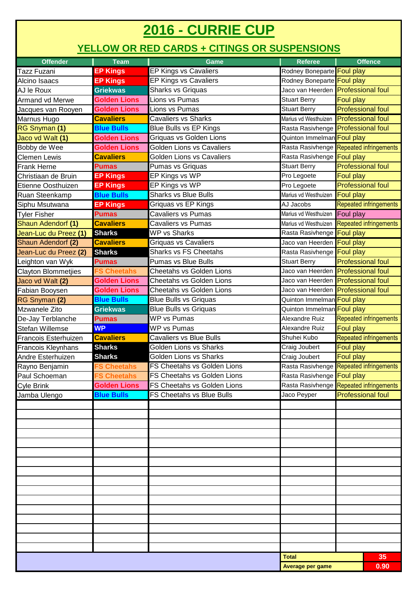## **2016 - CURRIE CUP**

## **YELLOW OR RED CARDS + CITINGS OR SUSPENSIONS**

| <b>Offender</b><br>Team              |                     | <b>Game</b>                        | <b>Referee</b>                              | <b>Offence</b>                          |                               |  |
|--------------------------------------|---------------------|------------------------------------|---------------------------------------------|-----------------------------------------|-------------------------------|--|
| <b>Tazz Fuzani</b>                   | <b>EP Kings</b>     | EP Kings vs Cavaliers              | Rodney Boneparte Foul play                  |                                         |                               |  |
| Alcino Isaacs                        | <b>EP Kings</b>     | EP Kings vs Cavaliers              | Rodney Boneparte Foul play                  |                                         |                               |  |
| AJ le Roux                           | <b>Griekwas</b>     | Sharks vs Griquas                  | Jaco van Heerden Professional foul          |                                         |                               |  |
| <b>Armand vd Merwe</b>               | <b>Golden Lions</b> | Lions vs Pumas                     | <b>Stuart Berry</b>                         | <b>Foul play</b>                        |                               |  |
| Jacques van Rooyen                   | <b>Golden Lions</b> | Lions vs Pumas                     | <b>Stuart Berry</b>                         | <b>Professional foul</b>                |                               |  |
| Marnus Hugo                          | <b>Cavaliers</b>    | <b>Cavaliers vs Sharks</b>         | Marius vd Westhuizen Professional foul      |                                         |                               |  |
| RG Snyman (1)                        | <b>Blue Bulls</b>   | Blue Bulls vs EP Kings             | Rasta Rasivhenge Professional foul          |                                         |                               |  |
| Jaco vd Walt (1)                     | <b>Golden Lions</b> | Griquas vs Golden Lions            | Quinton Immelman Foul play                  |                                         |                               |  |
| Bobby de Wee                         | <b>Golden Lions</b> | <b>Golden Lions vs Cavaliers</b>   | Rasta Rasivhenge Repeated infringements     |                                         |                               |  |
| <b>Clemen Lewis</b>                  | <b>Cavaliers</b>    | Golden Lions vs Cavaliers          | Rasta Rasivhenge Foul play                  |                                         |                               |  |
| <b>Frank Herne</b>                   | <b>Pumas</b>        | Pumas vs Griquas                   | <b>Stuart Berry</b>                         | <b>Professional foul</b>                |                               |  |
| Christiaan de Bruin                  | <b>EP Kings</b>     | EP Kings vs WP                     | Pro Legoete                                 | Foul play                               |                               |  |
| Etienne Oosthuizen                   | <b>EP Kings</b>     | EP Kings vs WP                     | Pro Legoete                                 | <b>Professional foul</b>                |                               |  |
| Ruan Steenkamp                       | <b>Blue Bulls</b>   | <b>Sharks vs Blue Bulls</b>        | Marius vd Westhuizen                        | <b>Foul play</b>                        |                               |  |
| Siphu Msutwana                       | <b>EP Kings</b>     | Griquas vs EP Kings                | AJ Jacobs                                   |                                         | <b>Repeated infringements</b> |  |
| <b>Tyler Fisher</b>                  | <b>Pumas</b>        | <b>Cavaliers vs Pumas</b>          | Marius vd Westhuizen Foul play              |                                         |                               |  |
| Shaun Adendorf (1)                   | <b>Cavaliers</b>    | <b>Cavaliers vs Pumas</b>          | Marius vd Westhuizen Repeated infringements |                                         |                               |  |
| Jean-Luc du Preez (1)                | <b>Sharks</b>       | <b>WP vs Sharks</b>                | Rasta Rasivhenge Foul play                  |                                         |                               |  |
| Shaun Adendorf (2)                   | <b>Cavaliers</b>    | <b>Griquas vs Cavaliers</b>        | Jaco van Heerden Foul play                  |                                         |                               |  |
| Jean-Luc du Preez (2)                | <b>Sharks</b>       | <b>Sharks vs FS Cheetahs</b>       | Rasta Rasivhenge Foul play                  |                                         |                               |  |
| eighton van Wyk                      | <b>Pumas</b>        | <b>Pumas vs Blue Bulls</b>         | <b>Stuart Berry</b>                         | <b>Professional foul</b>                |                               |  |
| Clayton Blommetjies                  | <b>FS Cheetahs</b>  | <b>Cheetahs vs Golden Lions</b>    |                                             | Jaco van Heerden Professional foul      |                               |  |
| Jaco vd Walt (2)                     | <b>Golden Lions</b> | <b>Cheetahs vs Golden Lions</b>    |                                             | Jaco van Heerden Professional foul      |                               |  |
| Fabian Booysen                       | <b>Golden Lions</b> | Cheetahs vs Golden Lions           |                                             | Jaco van Heerden Professional foul      |                               |  |
| RG Snyman (2)                        | <b>Blue Bulls</b>   | <b>Blue Bulls vs Griquas</b>       | Quinton Immelman Foul play                  |                                         |                               |  |
| Mzwanele Zito                        | <b>Griekwas</b>     | <b>Blue Bulls vs Griquas</b>       | Quinton Immelman Foul play                  |                                         |                               |  |
| De-Jay Terblanche                    | <b>Pumas</b>        | <b>WP vs Pumas</b>                 | Alexandre Ruiz                              |                                         | Repeated infringements        |  |
| <b>Stefan Willemse</b>               | <b>WP</b>           | <b>WP vs Pumas</b>                 | Alexandre Ruiz                              | Foul play                               |                               |  |
| <b>Francois Esterhuizen</b>          | <b>Cavaliers</b>    | <b>Cavaliers vs Blue Bulls</b>     | Shuhei Kubo                                 |                                         | Repeated infringements        |  |
| <b>Sharks</b><br>Francois Kleynhans  |                     | Golden Lions vs Sharks             | Craig Joubert                               | Foul play                               |                               |  |
| Andre Esterhuizen                    | <b>Sharks</b>       | <b>Golden Lions vs Sharks</b>      | Craig Joubert                               | Foul play                               |                               |  |
| <b>FS Cheetahs</b><br>Rayno Benjamin |                     | <b>FS Cheetahs vs Golden Lions</b> |                                             | Rasta Rasivhenge Repeated infringements |                               |  |
| <b>FS Cheetahs</b><br>Paul Schoeman  |                     | <b>FS Cheetahs vs Golden Lions</b> | Rasta Rasivhenge Foul play                  |                                         |                               |  |
| <b>Golden Lions</b><br>Cyle Brink    |                     | FS Cheetahs vs Golden Lions        |                                             | Rasta Rasivhenge Repeated infringements |                               |  |
| <b>Blue Bulls</b><br>Jamba Ulengo    |                     | FS Cheetahs vs Blue Bulls          | Jaco Peyper                                 | <b>Professional foul</b>                |                               |  |
|                                      |                     |                                    |                                             |                                         |                               |  |
|                                      |                     |                                    |                                             |                                         |                               |  |
|                                      |                     |                                    |                                             |                                         |                               |  |
|                                      |                     |                                    |                                             |                                         |                               |  |
|                                      |                     |                                    |                                             |                                         |                               |  |
|                                      |                     |                                    |                                             |                                         |                               |  |
|                                      |                     |                                    |                                             |                                         |                               |  |
|                                      |                     |                                    |                                             |                                         |                               |  |
|                                      |                     |                                    |                                             |                                         |                               |  |
|                                      |                     |                                    |                                             |                                         |                               |  |
|                                      |                     |                                    |                                             |                                         |                               |  |
|                                      |                     |                                    |                                             |                                         |                               |  |
|                                      |                     |                                    |                                             |                                         |                               |  |
|                                      |                     |                                    |                                             |                                         |                               |  |
|                                      |                     |                                    |                                             |                                         |                               |  |
|                                      |                     |                                    |                                             |                                         |                               |  |
| <b>Total</b>                         |                     |                                    |                                             | 35                                      |                               |  |
|                                      |                     |                                    | Average per game                            |                                         | 0.90                          |  |